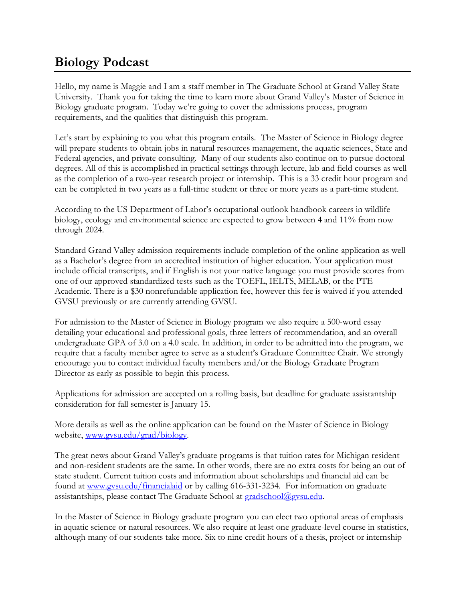## **Biology Podcast**

Hello, my name is Maggie and I am a staff member in The Graduate School at Grand Valley State University. Thank you for taking the time to learn more about Grand Valley's Master of Science in Biology graduate program. Today we're going to cover the admissions process, program requirements, and the qualities that distinguish this program.

Let's start by explaining to you what this program entails. The Master of Science in Biology degree will prepare students to obtain jobs in natural resources management, the aquatic sciences, State and Federal agencies, and private consulting. Many of our students also continue on to pursue doctoral degrees. All of this is accomplished in practical settings through lecture, lab and field courses as well as the completion of a two-year research project or internship. This is a 33 credit hour program and can be completed in two years as a full-time student or three or more years as a part-time student.

According to the US Department of Labor's occupational outlook handbook careers in wildlife biology, ecology and environmental science are expected to grow between 4 and 11% from now through 2024.

Standard Grand Valley admission requirements include completion of the online application as well as a Bachelor's degree from an accredited institution of higher education. Your application must include official transcripts, and if English is not your native language you must provide scores from one of our approved standardized tests such as the TOEFL, IELTS, MELAB, or the PTE Academic. There is a \$30 nonrefundable application fee, however this fee is waived if you attended GVSU previously or are currently attending GVSU.

For admission to the Master of Science in Biology program we also require a 500-word essay detailing your educational and professional goals, three letters of recommendation, and an overall undergraduate GPA of 3.0 on a 4.0 scale. In addition, in order to be admitted into the program, we require that a faculty member agree to serve as a student's Graduate Committee Chair. We strongly encourage you to contact individual faculty members and/or the Biology Graduate Program Director as early as possible to begin this process.

Applications for admission are accepted on a rolling basis, but deadline for graduate assistantship consideration for fall semester is January 15.

More details as well as the online application can be found on the Master of Science in Biology website, [www.gvsu.edu/grad/biology.](http://www.gvsu.edu/grad/biology)

The great news about Grand Valley's graduate programs is that tuition rates for Michigan resident and non-resident students are the same. In other words, there are no extra costs for being an out of state student. Current tuition costs and information about scholarships and financial aid can be found at [www.gvsu.edu/financialaid](http://www.gvsu.edu/financialaid) or by calling 616-331-3234. For information on graduate assistantships, please contact The Graduate School at [gradschool@gvsu.edu.](mailto:gradschool@gvsu.edu)

In the Master of Science in Biology graduate program you can elect two optional areas of emphasis in aquatic science or natural resources. We also require at least one graduate-level course in statistics, although many of our students take more. Six to nine credit hours of a thesis, project or internship